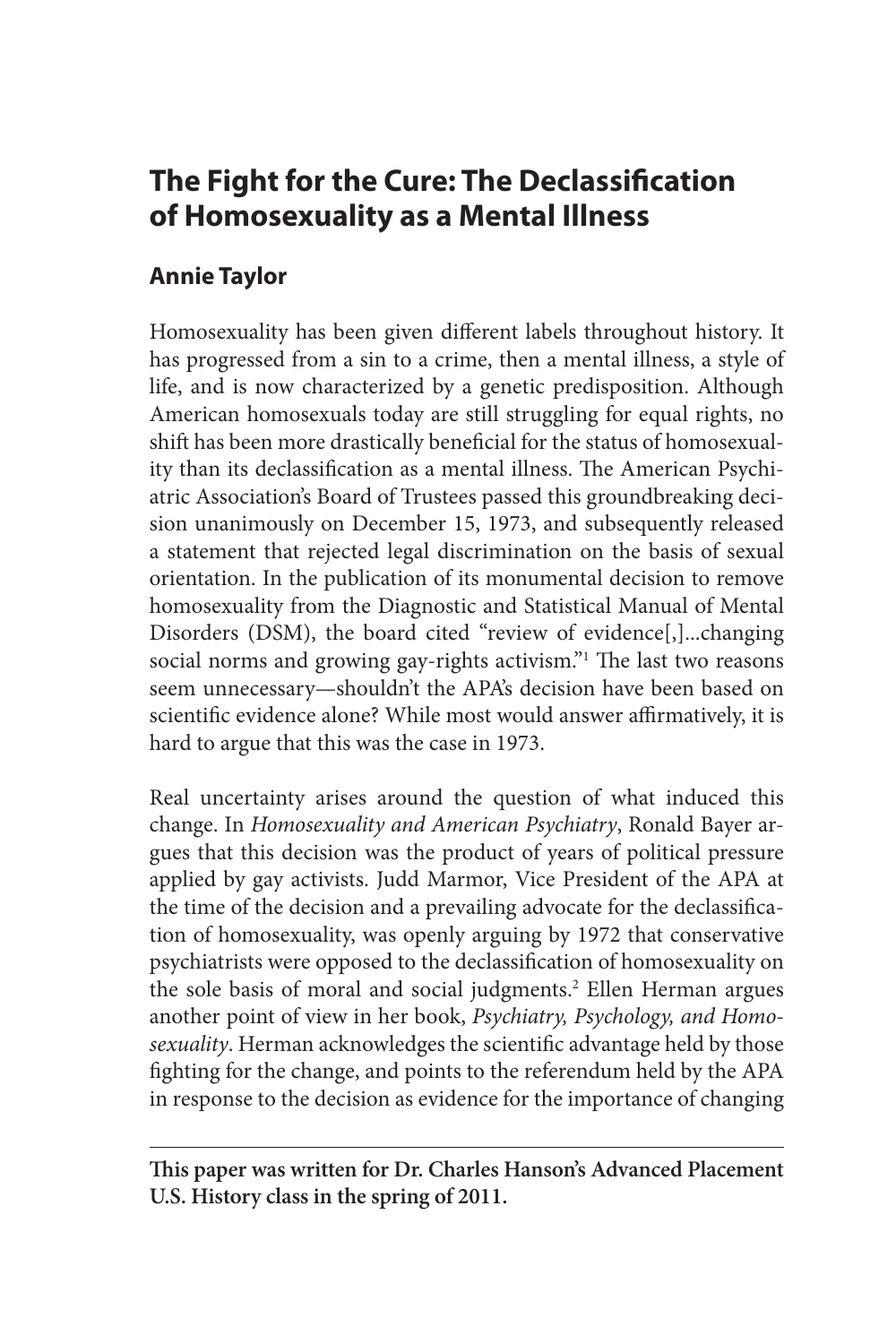# **The Fight for the Cure: The Declassification of Homosexuality as a Mental Illness**

## **Annie Taylor**

Homosexuality has been given different labels throughout history. It has progressed from a sin to a crime, then a mental illness, a style of life, and is now characterized by a genetic predisposition. Although American homosexuals today are still struggling for equal rights, no shift has been more drastically beneficial for the status of homosexuality than its declassification as a mental illness. The American Psychiatric Association's Board of Trustees passed this groundbreaking decision unanimously on December 15, 1973, and subsequently released a statement that rejected legal discrimination on the basis of sexual orientation. In the publication of its monumental decision to remove homosexuality from the Diagnostic and Statistical Manual of Mental Disorders (DSM), the board cited "review of evidence[,]...changing social norms and growing gay-rights activism." The last two reasons seem unnecessary—shouldn't the APA's decision have been based on scientific evidence alone? While most would answer affirmatively, it is hard to argue that this was the case in 1973.

Real uncertainty arises around the question of what induced this change. In *Homosexuality and American Psychiatry*, Ronald Bayer argues that this decision was the product of years of political pressure applied by gay activists. Judd Marmor, Vice President of the APA at the time of the decision and a prevailing advocate for the declassification of homosexuality, was openly arguing by 1972 that conservative psychiatrists were opposed to the declassification of homosexuality on the sole basis of moral and social judgments.<sup>2</sup> Ellen Herman argues another point of view in her book, *Psychiatry, Psychology, and Homosexuality*. Herman acknowledges the scientific advantage held by those fighting for the change, and points to the referendum held by the APA in response to the decision as evidence for the importance of changing

**This paper was written for Dr. Charles Hanson's Advanced Placement U.S. History class in the spring of 2011.**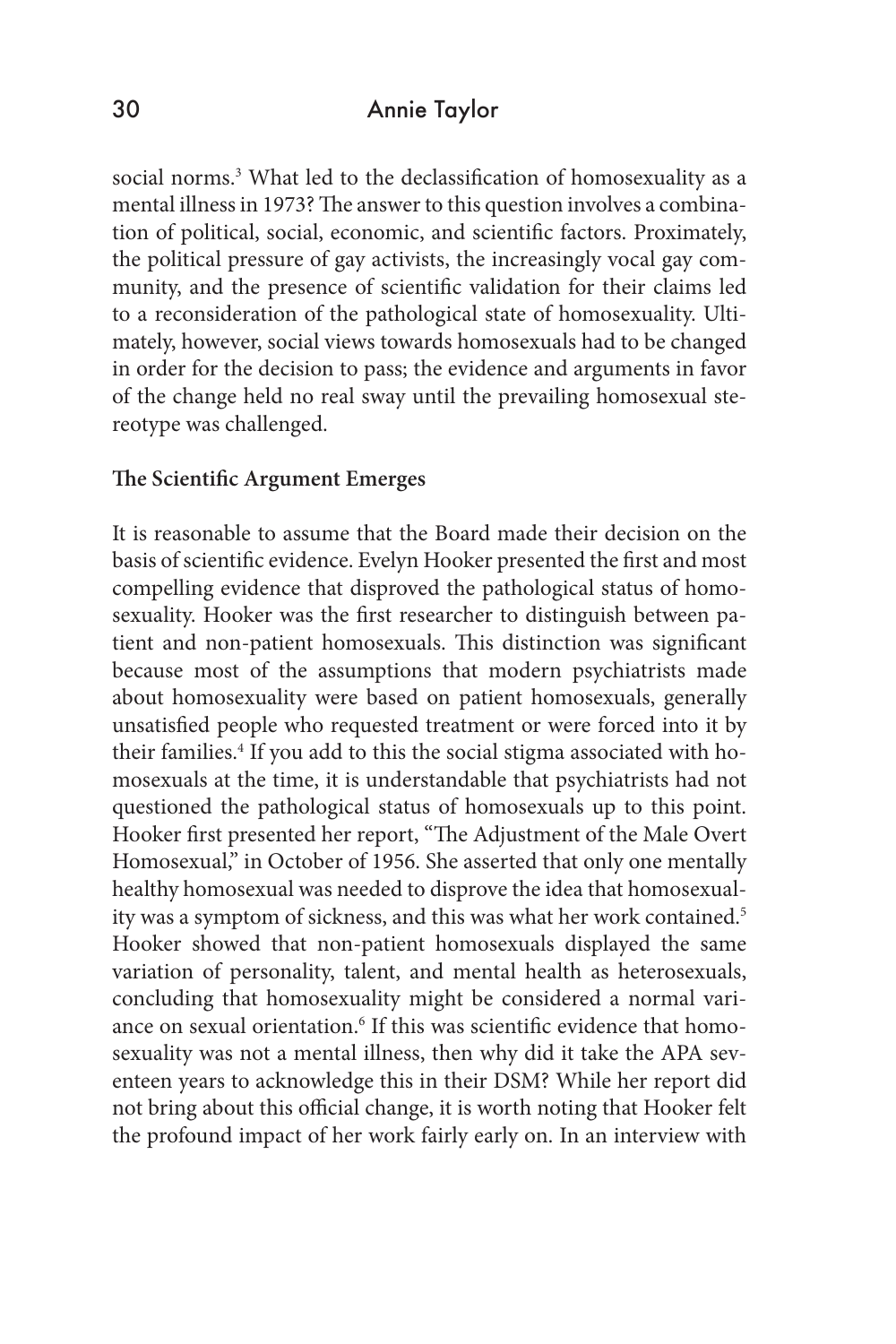#### 30 Annie Taylor

social norms.<sup>3</sup> What led to the declassification of homosexuality as a mental illness in 1973? The answer to this question involves a combination of political, social, economic, and scientific factors. Proximately, the political pressure of gay activists, the increasingly vocal gay community, and the presence of scientific validation for their claims led to a reconsideration of the pathological state of homosexuality. Ultimately, however, social views towards homosexuals had to be changed in order for the decision to pass; the evidence and arguments in favor of the change held no real sway until the prevailing homosexual stereotype was challenged.

#### **The Scientific Argument Emerges**

It is reasonable to assume that the Board made their decision on the basis of scientific evidence. Evelyn Hooker presented the first and most compelling evidence that disproved the pathological status of homosexuality. Hooker was the first researcher to distinguish between patient and non-patient homosexuals. This distinction was significant because most of the assumptions that modern psychiatrists made about homosexuality were based on patient homosexuals, generally unsatisfied people who requested treatment or were forced into it by their families.<sup>4</sup> If you add to this the social stigma associated with homosexuals at the time, it is understandable that psychiatrists had not questioned the pathological status of homosexuals up to this point. Hooker first presented her report, "The Adjustment of the Male Overt Homosexual," in October of 1956. She asserted that only one mentally healthy homosexual was needed to disprove the idea that homosexuality was a symptom of sickness, and this was what her work contained.<sup>5</sup> Hooker showed that non-patient homosexuals displayed the same variation of personality, talent, and mental health as heterosexuals, concluding that homosexuality might be considered a normal variance on sexual orientation.<sup>6</sup> If this was scientific evidence that homosexuality was not a mental illness, then why did it take the APA seventeen years to acknowledge this in their DSM? While her report did not bring about this official change, it is worth noting that Hooker felt the profound impact of her work fairly early on. In an interview with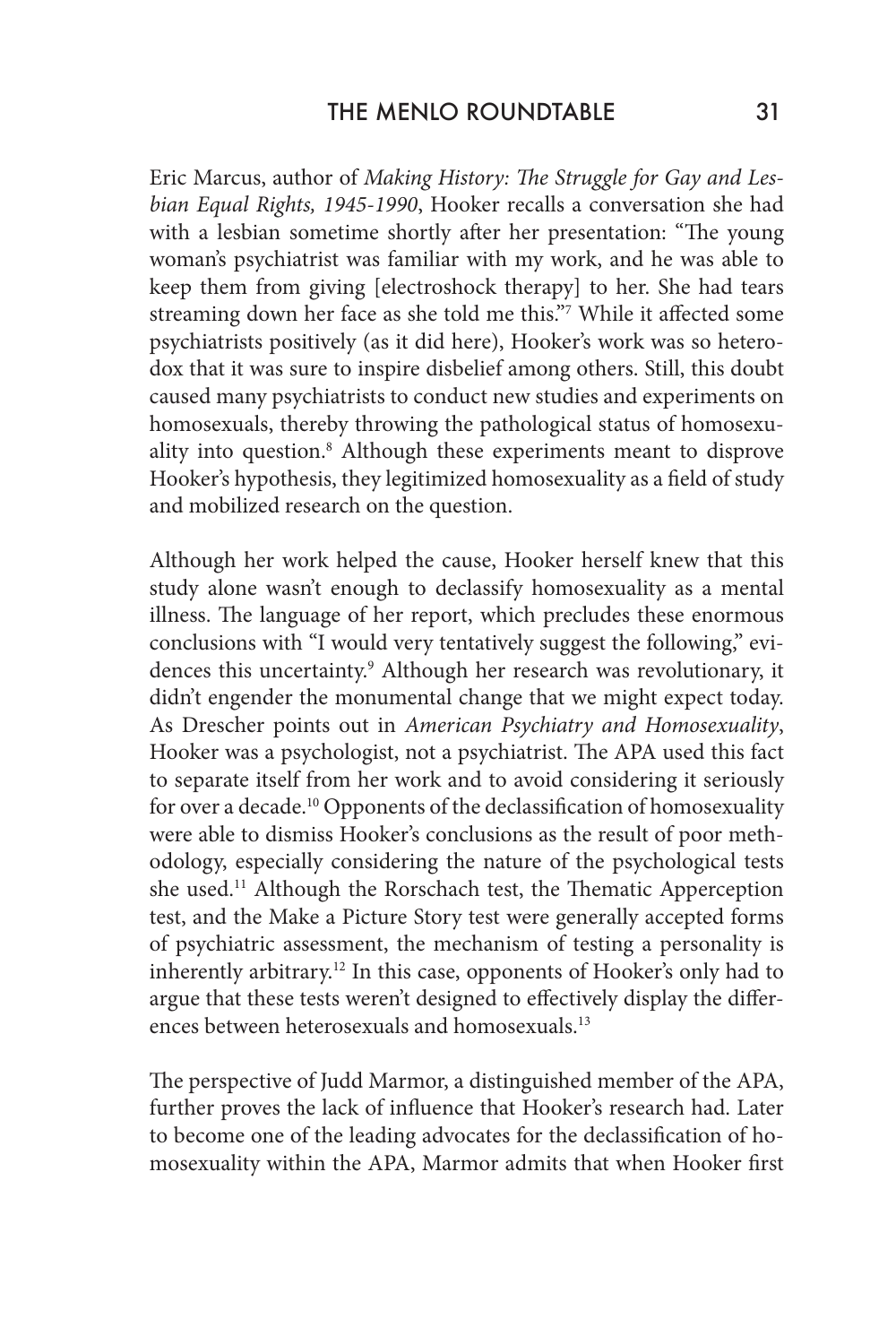Eric Marcus, author of *Making History: The Struggle for Gay and Lesbian Equal Rights, 1945-1990*, Hooker recalls a conversation she had with a lesbian sometime shortly after her presentation: "The young woman's psychiatrist was familiar with my work, and he was able to keep them from giving [electroshock therapy] to her. She had tears streaming down her face as she told me this."7 While it affected some psychiatrists positively (as it did here), Hooker's work was so heterodox that it was sure to inspire disbelief among others. Still, this doubt caused many psychiatrists to conduct new studies and experiments on homosexuals, thereby throwing the pathological status of homosexuality into question.8 Although these experiments meant to disprove Hooker's hypothesis, they legitimized homosexuality as a field of study and mobilized research on the question.

Although her work helped the cause, Hooker herself knew that this study alone wasn't enough to declassify homosexuality as a mental illness. The language of her report, which precludes these enormous conclusions with "I would very tentatively suggest the following," evidences this uncertainty.<sup>9</sup> Although her research was revolutionary, it didn't engender the monumental change that we might expect today. As Drescher points out in *American Psychiatry and Homosexuality*, Hooker was a psychologist, not a psychiatrist. The APA used this fact to separate itself from her work and to avoid considering it seriously for over a decade.10 Opponents of the declassification of homosexuality were able to dismiss Hooker's conclusions as the result of poor methodology, especially considering the nature of the psychological tests she used.<sup>11</sup> Although the Rorschach test, the Thematic Apperception test, and the Make a Picture Story test were generally accepted forms of psychiatric assessment, the mechanism of testing a personality is inherently arbitrary.<sup>12</sup> In this case, opponents of Hooker's only had to argue that these tests weren't designed to effectively display the differences between heterosexuals and homosexuals.13

The perspective of Judd Marmor, a distinguished member of the APA, further proves the lack of influence that Hooker's research had. Later to become one of the leading advocates for the declassification of homosexuality within the APA, Marmor admits that when Hooker first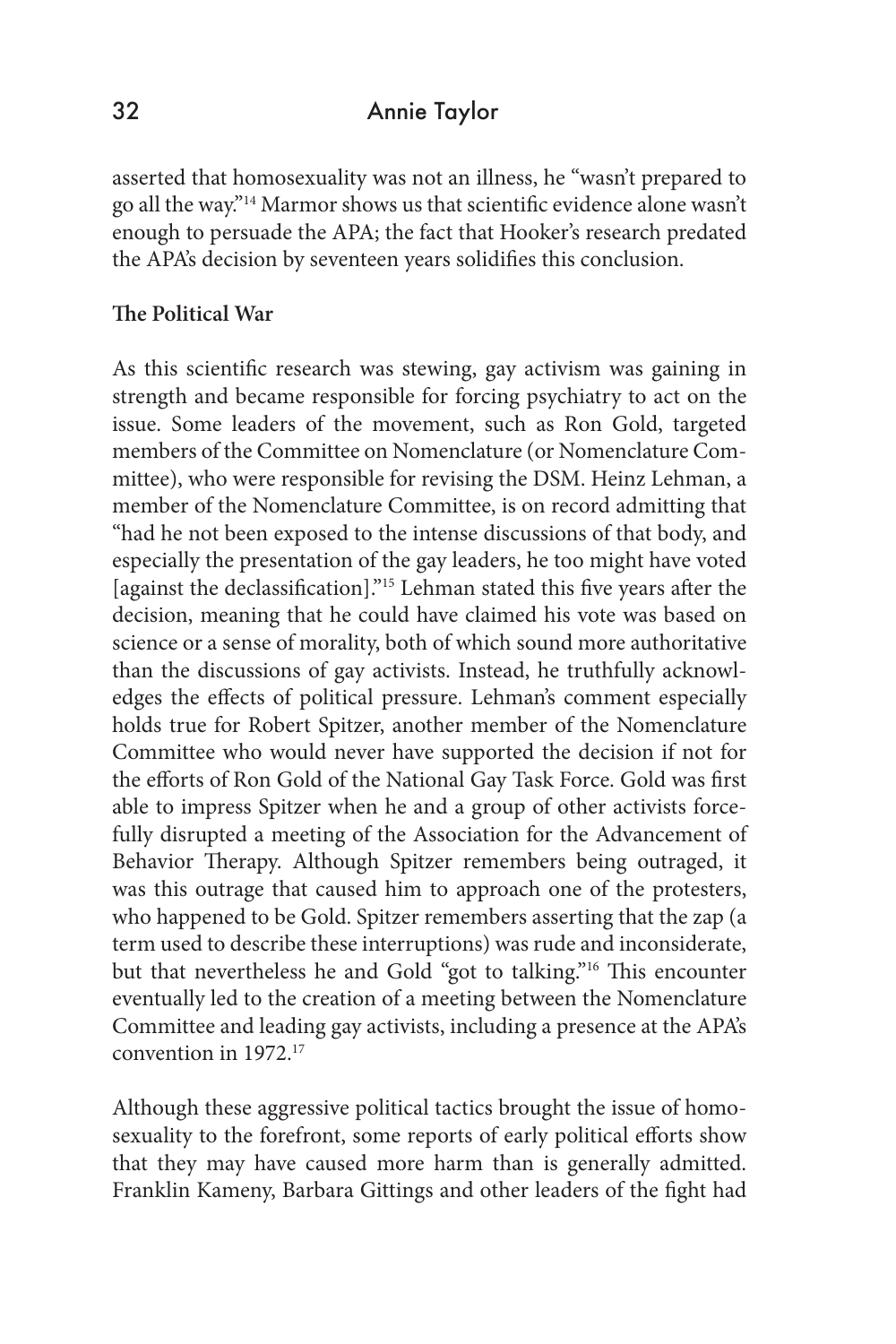## 32 Annie Taylor

asserted that homosexuality was not an illness, he "wasn't prepared to go all the way."14 Marmor shows us that scientific evidence alone wasn't enough to persuade the APA; the fact that Hooker's research predated the APA's decision by seventeen years solidifies this conclusion.

#### **The Political War**

As this scientific research was stewing, gay activism was gaining in strength and became responsible for forcing psychiatry to act on the issue. Some leaders of the movement, such as Ron Gold, targeted members of the Committee on Nomenclature (or Nomenclature Committee), who were responsible for revising the DSM. Heinz Lehman, a member of the Nomenclature Committee, is on record admitting that "had he not been exposed to the intense discussions of that body, and especially the presentation of the gay leaders, he too might have voted [against the declassification]."15 Lehman stated this five years after the decision, meaning that he could have claimed his vote was based on science or a sense of morality, both of which sound more authoritative than the discussions of gay activists. Instead, he truthfully acknowledges the effects of political pressure. Lehman's comment especially holds true for Robert Spitzer, another member of the Nomenclature Committee who would never have supported the decision if not for the efforts of Ron Gold of the National Gay Task Force. Gold was first able to impress Spitzer when he and a group of other activists forcefully disrupted a meeting of the Association for the Advancement of Behavior Therapy. Although Spitzer remembers being outraged, it was this outrage that caused him to approach one of the protesters, who happened to be Gold. Spitzer remembers asserting that the zap (a term used to describe these interruptions) was rude and inconsiderate, but that nevertheless he and Gold "got to talking."16 This encounter eventually led to the creation of a meeting between the Nomenclature Committee and leading gay activists, including a presence at the APA's convention in 1972.17

Although these aggressive political tactics brought the issue of homosexuality to the forefront, some reports of early political efforts show that they may have caused more harm than is generally admitted. Franklin Kameny, Barbara Gittings and other leaders of the fight had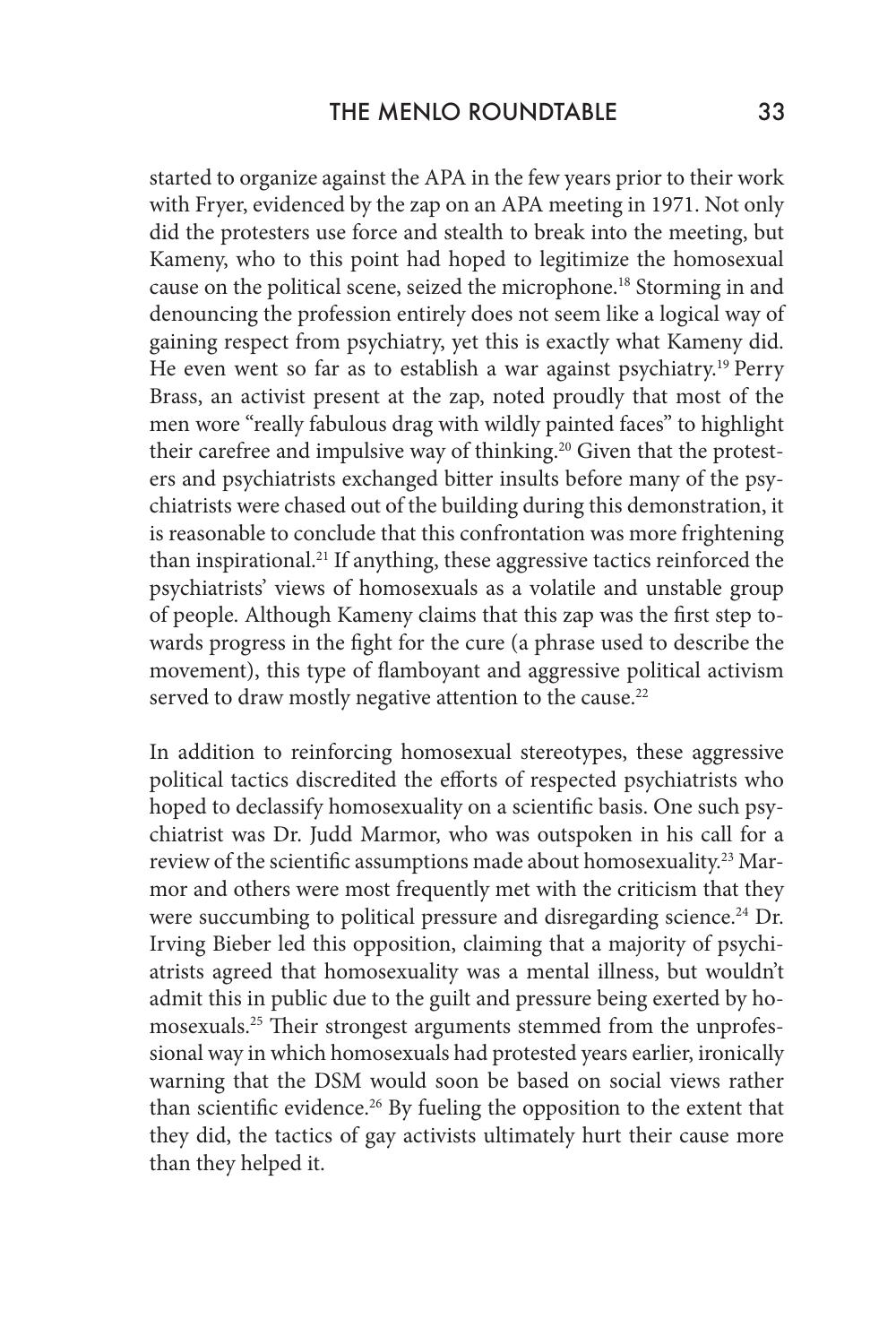started to organize against the APA in the few years prior to their work with Fryer, evidenced by the zap on an APA meeting in 1971. Not only did the protesters use force and stealth to break into the meeting, but Kameny, who to this point had hoped to legitimize the homosexual cause on the political scene, seized the microphone.<sup>18</sup> Storming in and denouncing the profession entirely does not seem like a logical way of gaining respect from psychiatry, yet this is exactly what Kameny did. He even went so far as to establish a war against psychiatry.19 Perry Brass, an activist present at the zap, noted proudly that most of the men wore "really fabulous drag with wildly painted faces" to highlight their carefree and impulsive way of thinking.<sup>20</sup> Given that the protesters and psychiatrists exchanged bitter insults before many of the psychiatrists were chased out of the building during this demonstration, it is reasonable to conclude that this confrontation was more frightening than inspirational.<sup>21</sup> If anything, these aggressive tactics reinforced the psychiatrists' views of homosexuals as a volatile and unstable group of people. Although Kameny claims that this zap was the first step towards progress in the fight for the cure (a phrase used to describe the movement), this type of flamboyant and aggressive political activism served to draw mostly negative attention to the cause.<sup>22</sup>

In addition to reinforcing homosexual stereotypes, these aggressive political tactics discredited the efforts of respected psychiatrists who hoped to declassify homosexuality on a scientific basis. One such psychiatrist was Dr. Judd Marmor, who was outspoken in his call for a review of the scientific assumptions made about homosexuality.<sup>23</sup> Marmor and others were most frequently met with the criticism that they were succumbing to political pressure and disregarding science.<sup>24</sup> Dr. Irving Bieber led this opposition, claiming that a majority of psychiatrists agreed that homosexuality was a mental illness, but wouldn't admit this in public due to the guilt and pressure being exerted by homosexuals.25 Their strongest arguments stemmed from the unprofessional way in which homosexuals had protested years earlier, ironically warning that the DSM would soon be based on social views rather than scientific evidence.<sup>26</sup> By fueling the opposition to the extent that they did, the tactics of gay activists ultimately hurt their cause more than they helped it.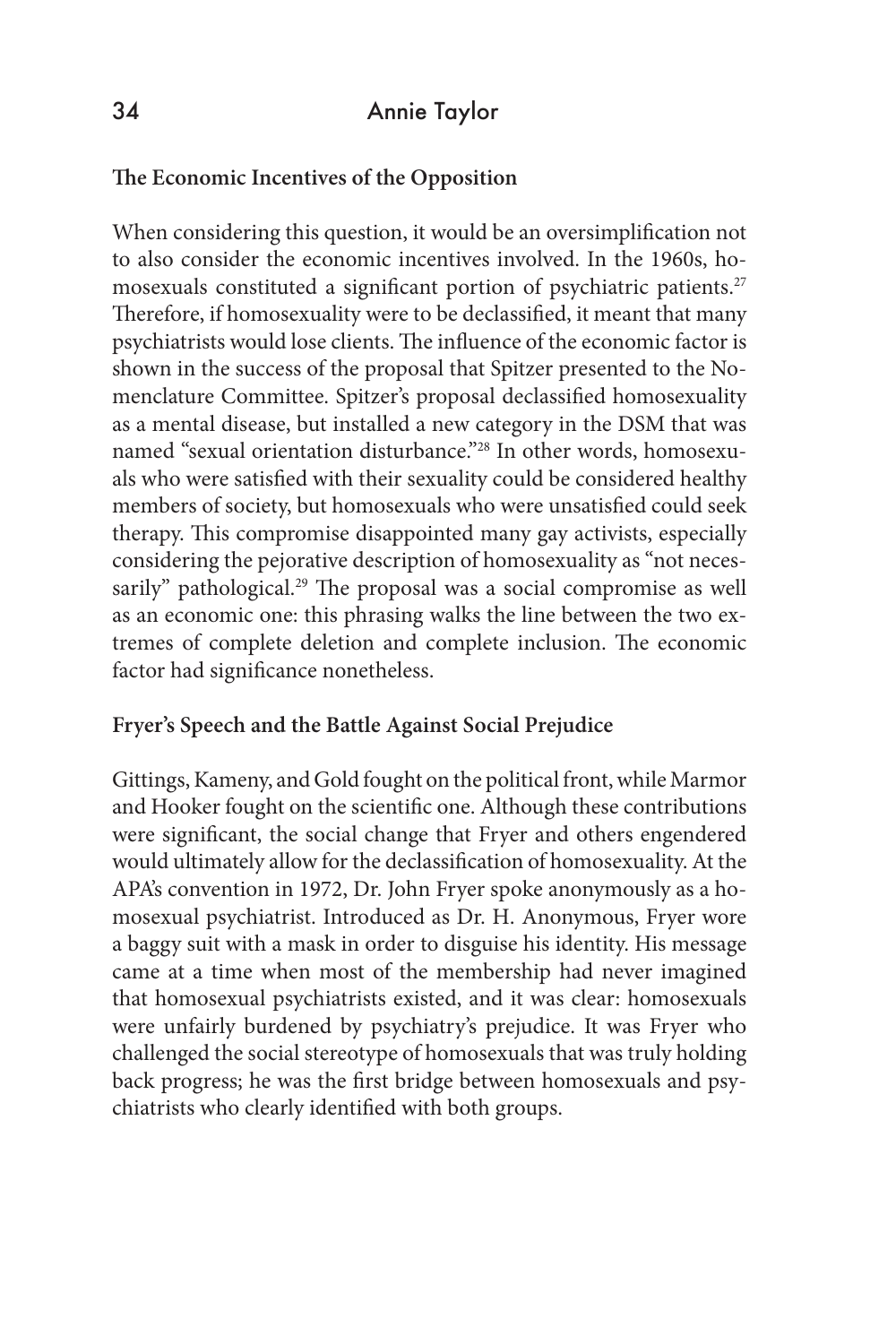## **The Economic Incentives of the Opposition**

When considering this question, it would be an oversimplification not to also consider the economic incentives involved. In the 1960s, homosexuals constituted a significant portion of psychiatric patients.<sup>27</sup> Therefore, if homosexuality were to be declassified, it meant that many psychiatrists would lose clients. The influence of the economic factor is shown in the success of the proposal that Spitzer presented to the Nomenclature Committee. Spitzer's proposal declassified homosexuality as a mental disease, but installed a new category in the DSM that was named "sexual orientation disturbance."28 In other words, homosexuals who were satisfied with their sexuality could be considered healthy members of society, but homosexuals who were unsatisfied could seek therapy. This compromise disappointed many gay activists, especially considering the pejorative description of homosexuality as "not necessarily" pathological.<sup>29</sup> The proposal was a social compromise as well as an economic one: this phrasing walks the line between the two extremes of complete deletion and complete inclusion. The economic factor had significance nonetheless.

### **Fryer's Speech and the Battle Against Social Prejudice**

Gittings, Kameny, and Gold fought on the political front, while Marmor and Hooker fought on the scientific one. Although these contributions were significant, the social change that Fryer and others engendered would ultimately allow for the declassification of homosexuality. At the APA's convention in 1972, Dr. John Fryer spoke anonymously as a homosexual psychiatrist. Introduced as Dr. H. Anonymous, Fryer wore a baggy suit with a mask in order to disguise his identity. His message came at a time when most of the membership had never imagined that homosexual psychiatrists existed, and it was clear: homosexuals were unfairly burdened by psychiatry's prejudice. It was Fryer who challenged the social stereotype of homosexuals that was truly holding back progress; he was the first bridge between homosexuals and psychiatrists who clearly identified with both groups.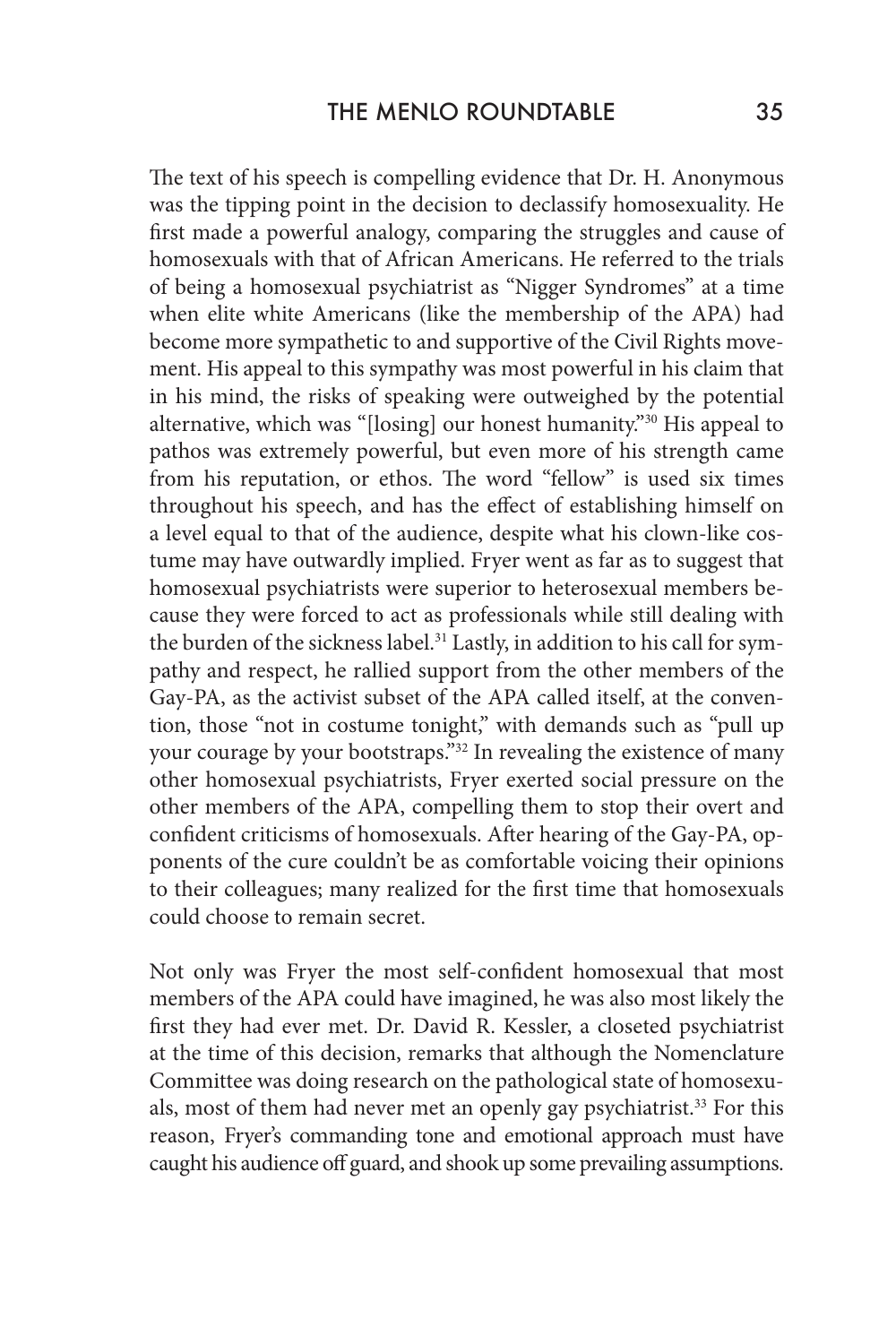The text of his speech is compelling evidence that Dr. H. Anonymous was the tipping point in the decision to declassify homosexuality. He first made a powerful analogy, comparing the struggles and cause of homosexuals with that of African Americans. He referred to the trials of being a homosexual psychiatrist as "Nigger Syndromes" at a time when elite white Americans (like the membership of the APA) had become more sympathetic to and supportive of the Civil Rights movement. His appeal to this sympathy was most powerful in his claim that in his mind, the risks of speaking were outweighed by the potential alternative, which was "[losing] our honest humanity."30 His appeal to pathos was extremely powerful, but even more of his strength came from his reputation, or ethos. The word "fellow" is used six times throughout his speech, and has the effect of establishing himself on a level equal to that of the audience, despite what his clown-like costume may have outwardly implied. Fryer went as far as to suggest that homosexual psychiatrists were superior to heterosexual members because they were forced to act as professionals while still dealing with the burden of the sickness label.<sup>31</sup> Lastly, in addition to his call for sympathy and respect, he rallied support from the other members of the Gay-PA, as the activist subset of the APA called itself, at the convention, those "not in costume tonight," with demands such as "pull up your courage by your bootstraps."<sup>32</sup> In revealing the existence of many other homosexual psychiatrists, Fryer exerted social pressure on the other members of the APA, compelling them to stop their overt and confident criticisms of homosexuals. After hearing of the Gay-PA, opponents of the cure couldn't be as comfortable voicing their opinions to their colleagues; many realized for the first time that homosexuals could choose to remain secret.

Not only was Fryer the most self-confident homosexual that most members of the APA could have imagined, he was also most likely the first they had ever met. Dr. David R. Kessler, a closeted psychiatrist at the time of this decision, remarks that although the Nomenclature Committee was doing research on the pathological state of homosexuals, most of them had never met an openly gay psychiatrist.<sup>33</sup> For this reason, Fryer's commanding tone and emotional approach must have caught his audience off guard, and shook up some prevailing assumptions.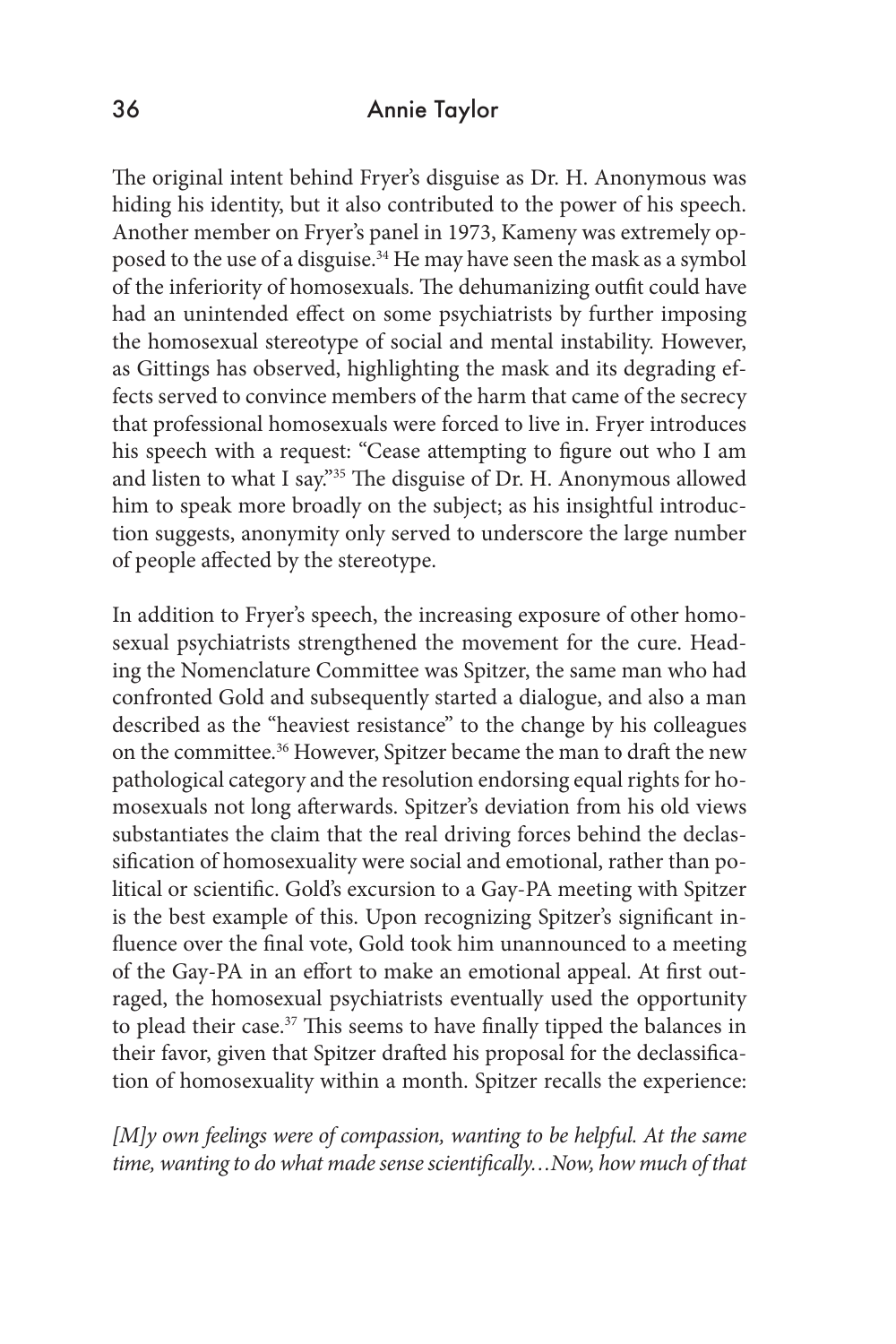### 36 Annie Taylor

The original intent behind Fryer's disguise as Dr. H. Anonymous was hiding his identity, but it also contributed to the power of his speech. Another member on Fryer's panel in 1973, Kameny was extremely opposed to the use of a disguise.<sup>34</sup> He may have seen the mask as a symbol of the inferiority of homosexuals. The dehumanizing outfit could have had an unintended effect on some psychiatrists by further imposing the homosexual stereotype of social and mental instability. However, as Gittings has observed, highlighting the mask and its degrading effects served to convince members of the harm that came of the secrecy that professional homosexuals were forced to live in. Fryer introduces his speech with a request: "Cease attempting to figure out who I am and listen to what I say."35 The disguise of Dr. H. Anonymous allowed him to speak more broadly on the subject; as his insightful introduction suggests, anonymity only served to underscore the large number of people affected by the stereotype.

In addition to Fryer's speech, the increasing exposure of other homosexual psychiatrists strengthened the movement for the cure. Heading the Nomenclature Committee was Spitzer, the same man who had confronted Gold and subsequently started a dialogue, and also a man described as the "heaviest resistance" to the change by his colleagues on the committee.<sup>36</sup> However, Spitzer became the man to draft the new pathological category and the resolution endorsing equal rights for homosexuals not long afterwards. Spitzer's deviation from his old views substantiates the claim that the real driving forces behind the declassification of homosexuality were social and emotional, rather than political or scientific. Gold's excursion to a Gay-PA meeting with Spitzer is the best example of this. Upon recognizing Spitzer's significant influence over the final vote, Gold took him unannounced to a meeting of the Gay-PA in an effort to make an emotional appeal. At first outraged, the homosexual psychiatrists eventually used the opportunity to plead their case.<sup>37</sup> This seems to have finally tipped the balances in their favor, given that Spitzer drafted his proposal for the declassification of homosexuality within a month. Spitzer recalls the experience:

*[M]y own feelings were of compassion, wanting to be helpful. At the same time, wanting to do what made sense scientifically…Now, how much of that*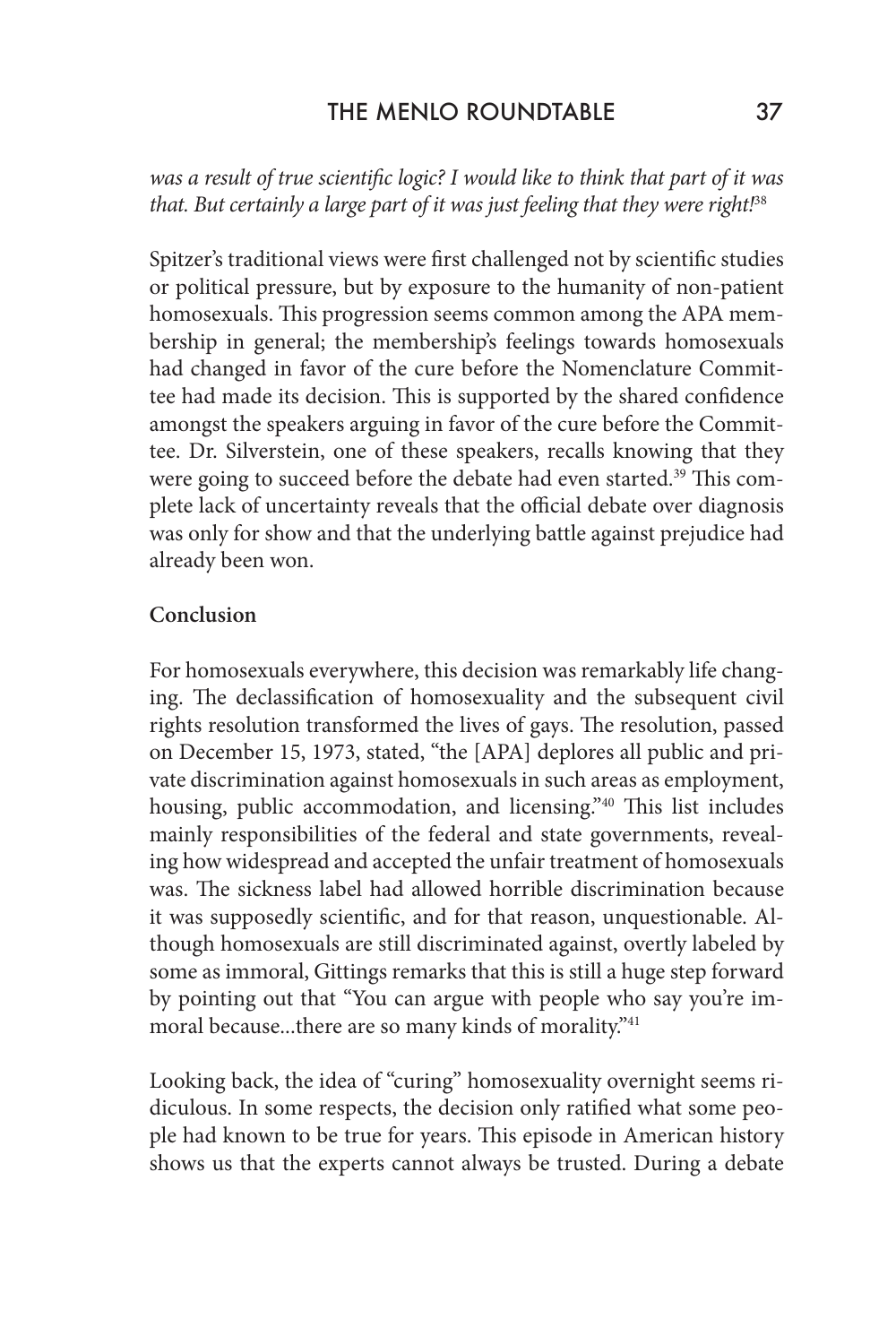*was a result of true scientific logic? I would like to think that part of it was that. But certainly a large part of it was just feeling that they were right!*<sup>38</sup>

Spitzer's traditional views were first challenged not by scientific studies or political pressure, but by exposure to the humanity of non-patient homosexuals. This progression seems common among the APA membership in general; the membership's feelings towards homosexuals had changed in favor of the cure before the Nomenclature Committee had made its decision. This is supported by the shared confidence amongst the speakers arguing in favor of the cure before the Committee. Dr. Silverstein, one of these speakers, recalls knowing that they were going to succeed before the debate had even started.<sup>39</sup> This complete lack of uncertainty reveals that the official debate over diagnosis was only for show and that the underlying battle against prejudice had already been won.

#### **Conclusion**

For homosexuals everywhere, this decision was remarkably life changing. The declassification of homosexuality and the subsequent civil rights resolution transformed the lives of gays. The resolution, passed on December 15, 1973, stated, "the [APA] deplores all public and private discrimination against homosexuals in such areas as employment, housing, public accommodation, and licensing.<sup>"40</sup> This list includes mainly responsibilities of the federal and state governments, revealing how widespread and accepted the unfair treatment of homosexuals was. The sickness label had allowed horrible discrimination because it was supposedly scientific, and for that reason, unquestionable. Although homosexuals are still discriminated against, overtly labeled by some as immoral, Gittings remarks that this is still a huge step forward by pointing out that "You can argue with people who say you're immoral because...there are so many kinds of morality."<sup>41</sup>

Looking back, the idea of "curing" homosexuality overnight seems ridiculous. In some respects, the decision only ratified what some people had known to be true for years. This episode in American history shows us that the experts cannot always be trusted. During a debate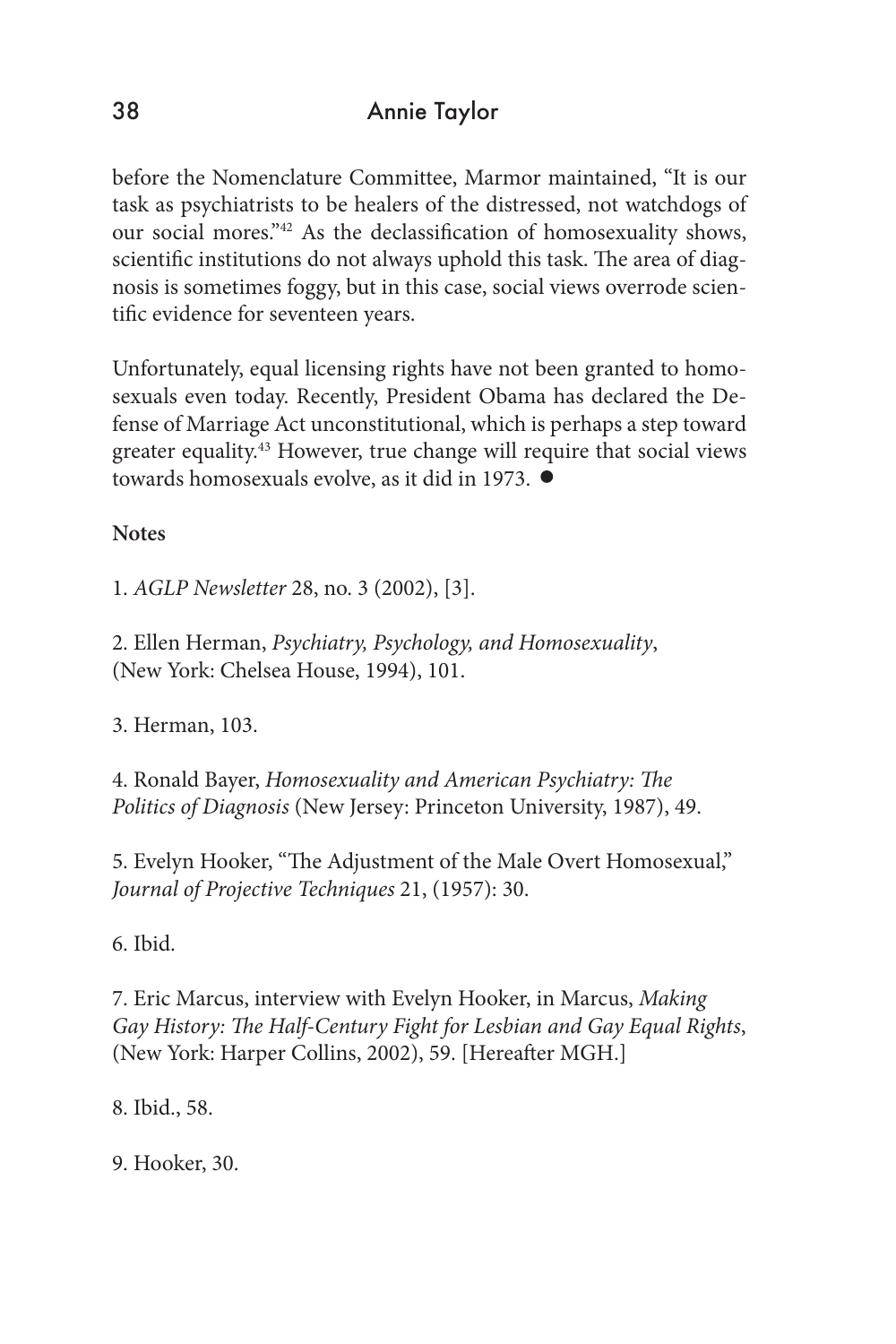before the Nomenclature Committee, Marmor maintained, "It is our task as psychiatrists to be healers of the distressed, not watchdogs of our social mores."42 As the declassification of homosexuality shows, scientific institutions do not always uphold this task. The area of diagnosis is sometimes foggy, but in this case, social views overrode scientific evidence for seventeen years.

Unfortunately, equal licensing rights have not been granted to homosexuals even today. Recently, President Obama has declared the Defense of Marriage Act unconstitutional, which is perhaps a step toward greater equality.43 However, true change will require that social views towards homosexuals evolve, as it did in 1973.

**Notes**

1. *AGLP Newsletter* 28, no. 3 (2002), [3].

2. Ellen Herman, *Psychiatry, Psychology, and Homosexuality*, (New York: Chelsea House, 1994), 101.

3. Herman, 103.

4. Ronald Bayer, *Homosexuality and American Psychiatry: The Politics of Diagnosis* (New Jersey: Princeton University, 1987), 49.

5. Evelyn Hooker, "The Adjustment of the Male Overt Homosexual," *Journal of Projective Techniques* 21, (1957): 30.

6. Ibid.

7. Eric Marcus, interview with Evelyn Hooker, in Marcus, *Making Gay History: The Half-Century Fight for Lesbian and Gay Equal Rights*, (New York: Harper Collins, 2002), 59. [Hereafter MGH.]

8. Ibid., 58.

9. Hooker, 30.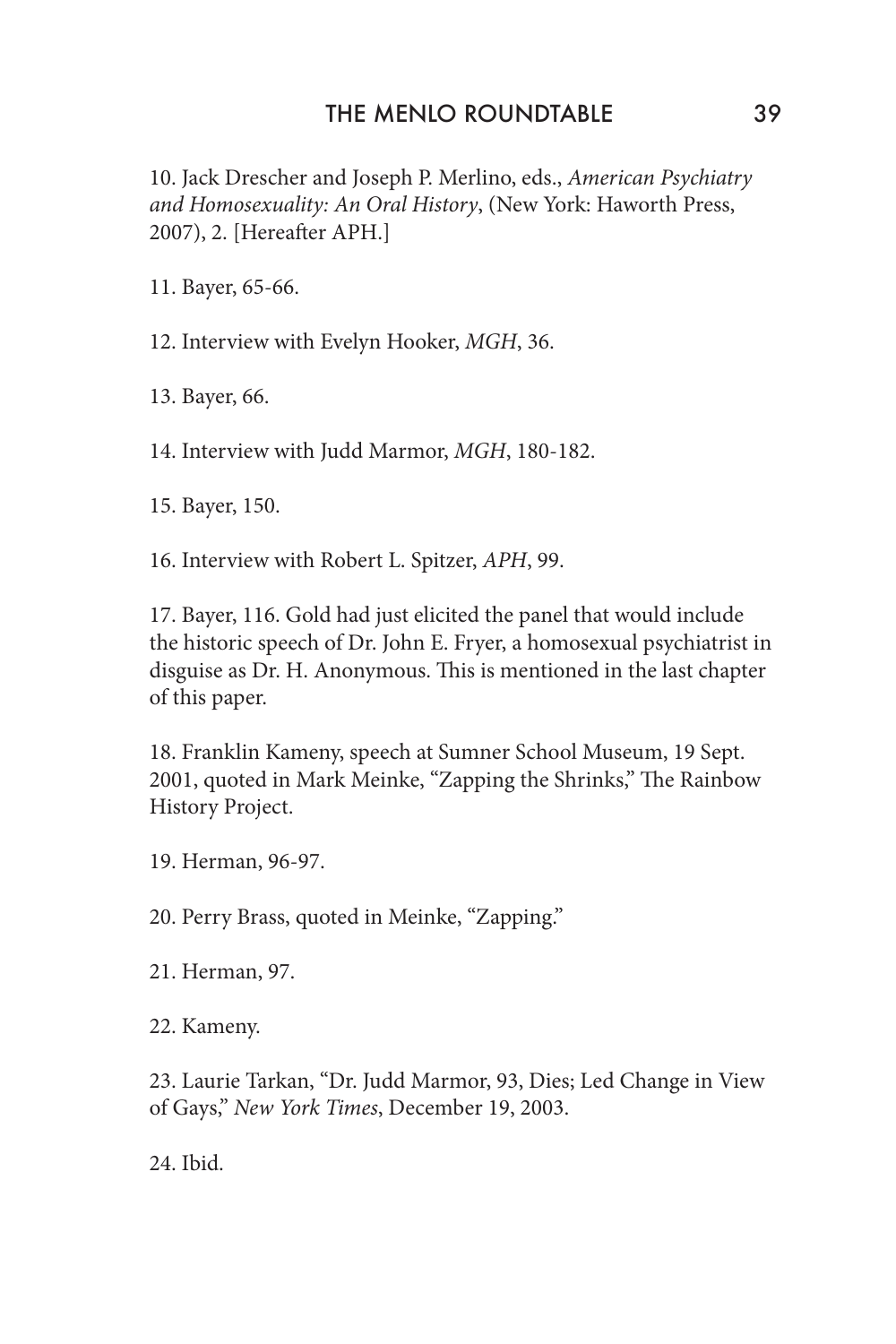#### THE MENLO ROUNDTABLE 39

10. Jack Drescher and Joseph P. Merlino, eds., *American Psychiatry and Homosexuality: An Oral History*, (New York: Haworth Press, 2007), 2. [Hereafter APH.]

11. Bayer, 65-66.

12. Interview with Evelyn Hooker, *MGH*, 36.

13. Bayer, 66.

14. Interview with Judd Marmor, *MGH*, 180-182.

15. Bayer, 150.

16. Interview with Robert L. Spitzer, *APH*, 99.

17. Bayer, 116. Gold had just elicited the panel that would include the historic speech of Dr. John E. Fryer, a homosexual psychiatrist in disguise as Dr. H. Anonymous. This is mentioned in the last chapter of this paper.

18. Franklin Kameny, speech at Sumner School Museum, 19 Sept. 2001, quoted in Mark Meinke, "Zapping the Shrinks," The Rainbow History Project.

19. Herman, 96-97.

20. Perry Brass, quoted in Meinke, "Zapping."

21. Herman, 97.

22. Kameny.

23. Laurie Tarkan, "Dr. Judd Marmor, 93, Dies; Led Change in View of Gays," *New York Times*, December 19, 2003.

24. Ibid.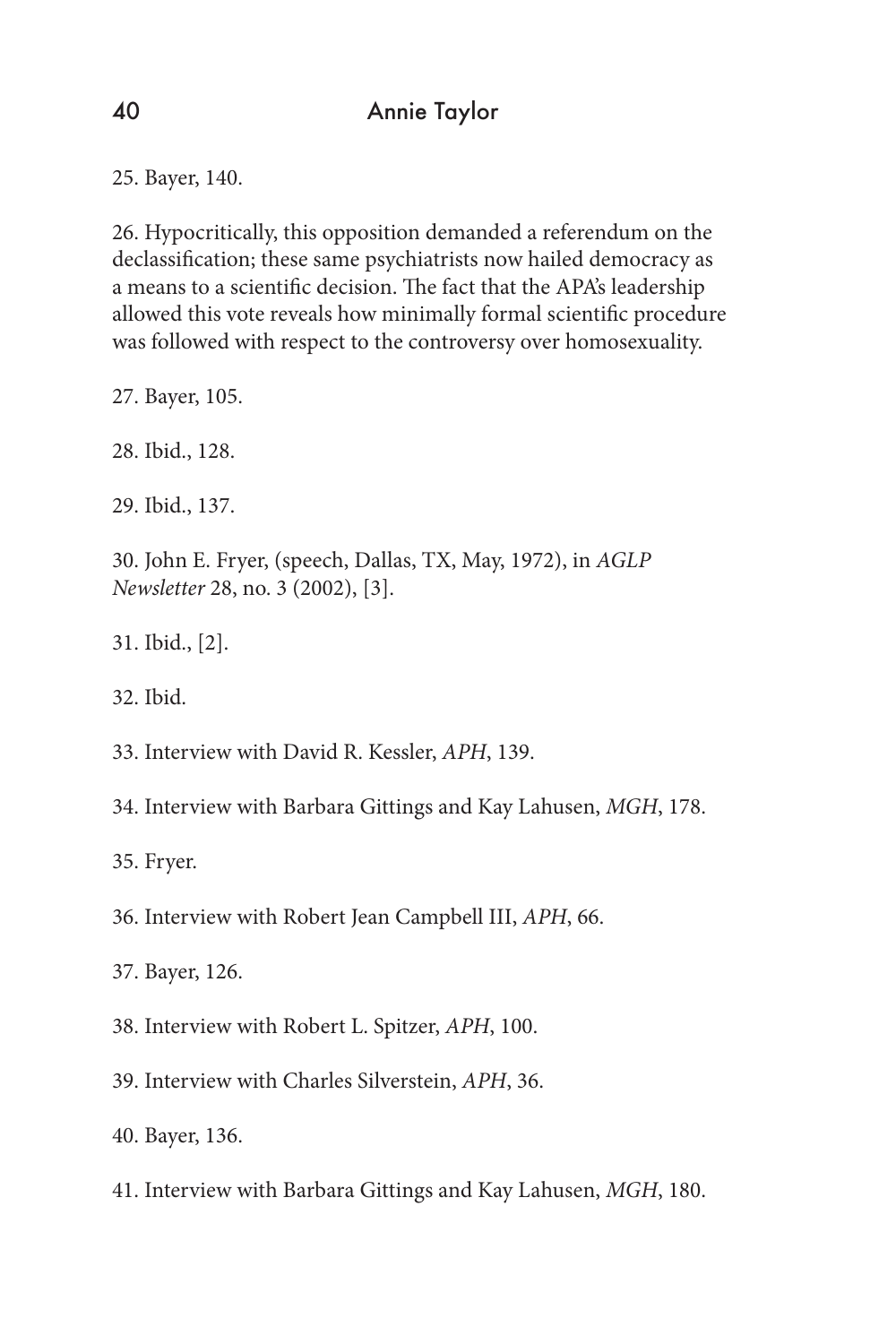25. Bayer, 140.

26. Hypocritically, this opposition demanded a referendum on the declassification; these same psychiatrists now hailed democracy as a means to a scientific decision. The fact that the APA's leadership allowed this vote reveals how minimally formal scientific procedure was followed with respect to the controversy over homosexuality.

27. Bayer, 105.

28. Ibid., 128.

29. Ibid., 137.

30. John E. Fryer, (speech, Dallas, TX, May, 1972), in *AGLP Newsletter* 28, no. 3 (2002), [3].

31. Ibid., [2].

32. Ibid.

33. Interview with David R. Kessler, *APH*, 139.

34. Interview with Barbara Gittings and Kay Lahusen, *MGH*, 178.

35. Fryer.

36. Interview with Robert Jean Campbell III, *APH*, 66.

37. Bayer, 126.

38. Interview with Robert L. Spitzer, *APH*, 100.

39. Interview with Charles Silverstein, *APH*, 36.

40. Bayer, 136.

41. Interview with Barbara Gittings and Kay Lahusen, *MGH*, 180.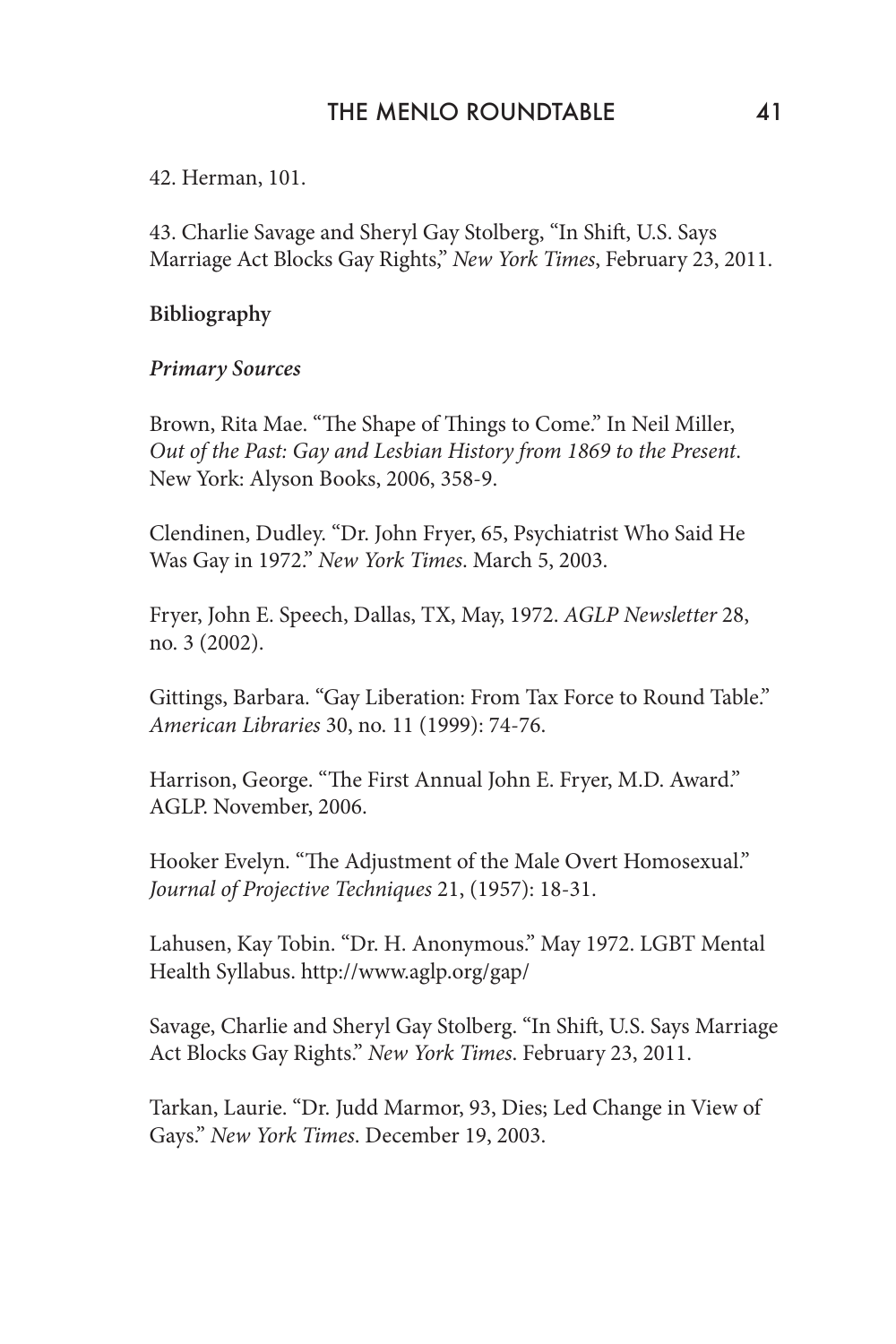42. Herman, 101.

43. Charlie Savage and Sheryl Gay Stolberg, "In Shift, U.S. Says Marriage Act Blocks Gay Rights," *New York Times*, February 23, 2011.

**Bibliography**

#### *Primary Sources*

Brown, Rita Mae. "The Shape of Things to Come." In Neil Miller, *Out of the Past: Gay and Lesbian History from 1869 to the Present*. New York: Alyson Books, 2006, 358-9.

Clendinen, Dudley. "Dr. John Fryer, 65, Psychiatrist Who Said He Was Gay in 1972." *New York Times*. March 5, 2003.

Fryer, John E. Speech, Dallas, TX, May, 1972. *AGLP Newsletter* 28, no. 3 (2002).

Gittings, Barbara. "Gay Liberation: From Tax Force to Round Table." *American Libraries* 30, no. 11 (1999): 74-76.

Harrison, George. "The First Annual John E. Fryer, M.D. Award." AGLP. November, 2006.

Hooker Evelyn. "The Adjustment of the Male Overt Homosexual." *Journal of Projective Techniques* 21, (1957): 18-31.

Lahusen, Kay Tobin. "Dr. H. Anonymous." May 1972. LGBT Mental Health Syllabus. http://www.aglp.org/gap/

Savage, Charlie and Sheryl Gay Stolberg. "In Shift, U.S. Says Marriage Act Blocks Gay Rights." *New York Times*. February 23, 2011.

Tarkan, Laurie. "Dr. Judd Marmor, 93, Dies; Led Change in View of Gays." *New York Times*. December 19, 2003.